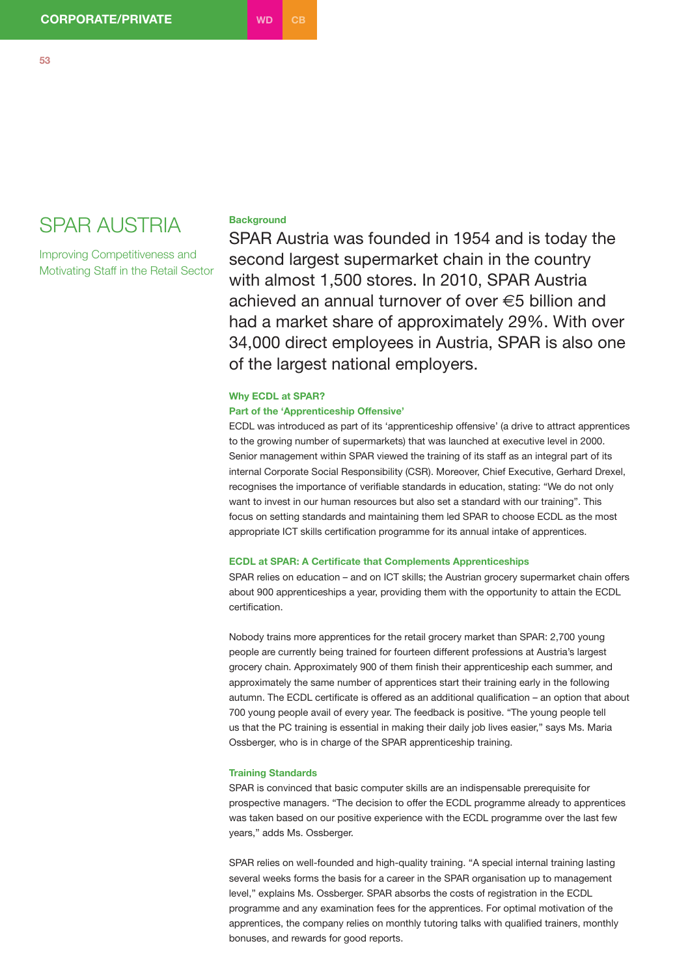# SPAR AUSTRIA

Improving Competitiveness and Motivating Staff in the Retail Sector

## **Background**

SPAR Austria was founded in 1954 and is today the second largest supermarket chain in the country with almost 1,500 stores. In 2010, SPAR Austria achieved an annual turnover of over  $\epsilon$ 5 billion and had a market share of approximately 29%. With over 34,000 direct employees in Austria, SPAR is also one of the largest national employers.

#### **Why ECDL at SPAR?**

### **Part of the 'Apprenticeship Offensive'**

ECDL was introduced as part of its 'apprenticeship offensive' (a drive to attract apprentices to the growing number of supermarkets) that was launched at executive level in 2000. Senior management within SPAR viewed the training of its staff as an integral part of its internal Corporate Social Responsibility (CSR). Moreover, Chief Executive, Gerhard Drexel, recognises the importance of verifiable standards in education, stating: "We do not only want to invest in our human resources but also set a standard with our training". This focus on setting standards and maintaining them led SPAR to choose ECDL as the most appropriate ICT skills certification programme for its annual intake of apprentices.

#### **ECDL at SPAR: A Certificate that Complements Apprenticeships**

SPAR relies on education – and on ICT skills; the Austrian grocery supermarket chain offers about 900 apprenticeships a year, providing them with the opportunity to attain the ECDL certification.

Nobody trains more apprentices for the retail grocery market than SPAR: 2,700 young people are currently being trained for fourteen different professions at Austria's largest grocery chain. Approximately 900 of them finish their apprenticeship each summer, and approximately the same number of apprentices start their training early in the following autumn. The ECDL certificate is offered as an additional qualification – an option that about 700 young people avail of every year. The feedback is positive. "The young people tell us that the PC training is essential in making their daily job lives easier," says Ms. Maria Ossberger, who is in charge of the SPAR apprenticeship training.

#### **Training Standards**

SPAR is convinced that basic computer skills are an indispensable prerequisite for prospective managers. "The decision to offer the ECDL programme already to apprentices was taken based on our positive experience with the ECDL programme over the last few years," adds Ms. Ossberger.

SPAR relies on well-founded and high-quality training. "A special internal training lasting several weeks forms the basis for a career in the SPAR organisation up to management level," explains Ms. Ossberger. SPAR absorbs the costs of registration in the ECDL programme and any examination fees for the apprentices. For optimal motivation of the apprentices, the company relies on monthly tutoring talks with qualified trainers, monthly bonuses, and rewards for good reports.